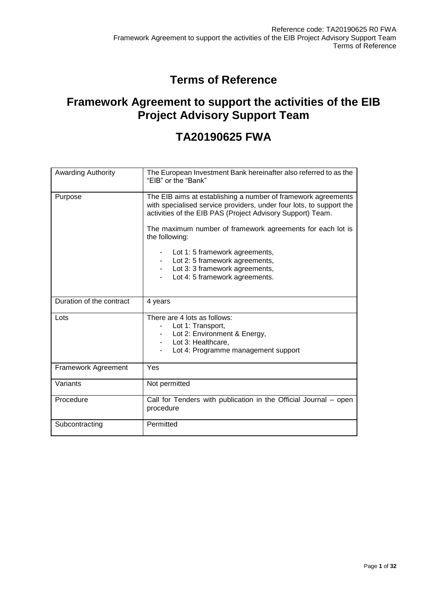# **Terms of Reference**

# **Framework Agreement to support the activities of the EIB Project Advisory Support Team**

# **TA20190625 FWA**

| <b>Awarding Authority</b> | The European Investment Bank hereinafter also referred to as the<br>"EIB" or the "Bank"                                                                                                                                                                          |  |  |
|---------------------------|------------------------------------------------------------------------------------------------------------------------------------------------------------------------------------------------------------------------------------------------------------------|--|--|
| Purpose                   | The EIB aims at establishing a number of framework agreements<br>with specialised service providers, under four lots, to support the<br>activities of the EIB PAS (Project Advisory Support) Team.<br>The maximum number of framework agreements for each lot is |  |  |
|                           | the following:                                                                                                                                                                                                                                                   |  |  |
|                           | Lot 1: 5 framework agreements,                                                                                                                                                                                                                                   |  |  |
|                           | Lot 2: 5 framework agreements,                                                                                                                                                                                                                                   |  |  |
|                           | Lot 3: 3 framework agreements,                                                                                                                                                                                                                                   |  |  |
|                           | Lot 4: 5 framework agreements.                                                                                                                                                                                                                                   |  |  |
|                           |                                                                                                                                                                                                                                                                  |  |  |
| Duration of the contract  | 4 years                                                                                                                                                                                                                                                          |  |  |
| Lots                      | There are 4 lots as follows:                                                                                                                                                                                                                                     |  |  |
|                           | Lot 1: Transport,                                                                                                                                                                                                                                                |  |  |
|                           | Lot 2: Environment & Energy,                                                                                                                                                                                                                                     |  |  |
|                           | Lot 3: Healthcare,<br>Lot 4: Programme management support                                                                                                                                                                                                        |  |  |
|                           |                                                                                                                                                                                                                                                                  |  |  |
| Framework Agreement       | Yes                                                                                                                                                                                                                                                              |  |  |
| Variants                  | Not permitted                                                                                                                                                                                                                                                    |  |  |
| Procedure                 | Call for Tenders with publication in the Official Journal – open<br>procedure                                                                                                                                                                                    |  |  |
| Subcontracting            | Permitted                                                                                                                                                                                                                                                        |  |  |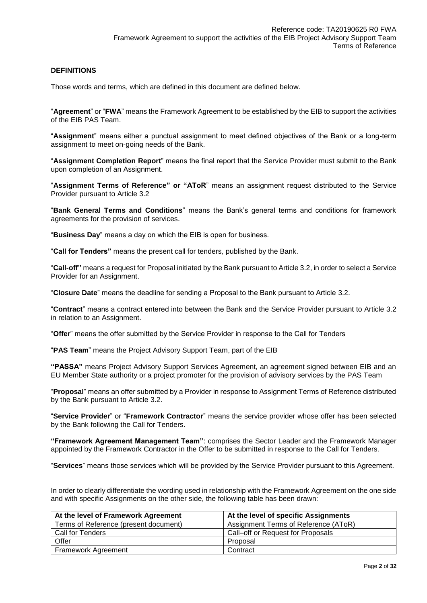#### **DEFINITIONS**

Those words and terms, which are defined in this document are defined below.

"**Agreement**" or "**FWA**" means the Framework Agreement to be established by the EIB to support the activities of the EIB PAS Team.

"**Assignment**" means either a punctual assignment to meet defined objectives of the Bank or a long-term assignment to meet on-going needs of the Bank.

"**Assignment Completion Report**" means the final report that the Service Provider must submit to the Bank upon completion of an Assignment.

"**Assignment Terms of Reference" or "AToR**" means an assignment request distributed to the Service Provider pursuant to Article 3.2

"**Bank General Terms and Conditions**" means the Bank's general terms and conditions for framework agreements for the provision of services.

"**Business Day**" means a day on which the EIB is open for business.

"**Call for Tenders"** means the present call for tenders, published by the Bank.

"**Call-off"** means a request for Proposal initiated by the Bank pursuant to Article 3.2, in order to select a Service Provider for an Assignment.

"**Closure Date**" means the deadline for sending a Proposal to the Bank pursuant to Article 3.2.

"**Contract**" means a contract entered into between the Bank and the Service Provider pursuant to Article 3.2 in relation to an Assignment.

"**Offer**" means the offer submitted by the Service Provider in response to the Call for Tenders

"**PAS Team**" means the Project Advisory Support Team, part of the EIB

**"PASSA"** means Project Advisory Support Services Agreement, an agreement signed between EIB and an EU Member State authority or a project promoter for the provision of advisory services by the PAS Team

"**Proposal**" means an offer submitted by a Provider in response to Assignment Terms of Reference distributed by the Bank pursuant to Article 3.2.

"**Service Provider**" or "**Framework Contractor**" means the service provider whose offer has been selected by the Bank following the Call for Tenders.

**"Framework Agreement Management Team"**: comprises the Sector Leader and the Framework Manager appointed by the Framework Contractor in the Offer to be submitted in response to the Call for Tenders.

"**Services**" means those services which will be provided by the Service Provider pursuant to this Agreement.

In order to clearly differentiate the wording used in relationship with the Framework Agreement on the one side and with specific Assignments on the other side, the following table has been drawn:

| At the level of Framework Agreement   | At the level of specific Assignments |
|---------------------------------------|--------------------------------------|
| Terms of Reference (present document) | Assignment Terms of Reference (AToR) |
| Call for Tenders                      | Call-off or Request for Proposals    |
| Offer                                 | Proposal                             |
| <b>Framework Agreement</b>            | Contract                             |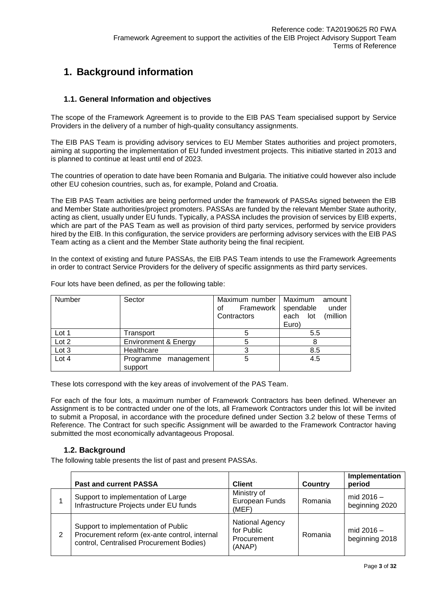# **1. Background information**

# **1.1. General Information and objectives**

The scope of the Framework Agreement is to provide to the EIB PAS Team specialised support by Service Providers in the delivery of a number of high-quality consultancy assignments.

The EIB PAS Team is providing advisory services to EU Member States authorities and project promoters, aiming at supporting the implementation of EU funded investment projects. This initiative started in 2013 and is planned to continue at least until end of 2023.

The countries of operation to date have been Romania and Bulgaria. The initiative could however also include other EU cohesion countries, such as, for example, Poland and Croatia.

The EIB PAS Team activities are being performed under the framework of PASSAs signed between the EIB and Member State authorities/project promoters. PASSAs are funded by the relevant Member State authority, acting as client, usually under EU funds. Typically, a PASSA includes the provision of services by EIB experts, which are part of the PAS Team as well as provision of third party services, performed by service providers hired by the EIB. In this configuration, the service providers are performing advisory services with the EIB PAS Team acting as a client and the Member State authority being the final recipient.

In the context of existing and future PASSAs, the EIB PAS Team intends to use the Framework Agreements in order to contract Service Providers for the delivery of specific assignments as third party services.

| Number | Sector                          | Maximum number   Maximum<br>Framework   spendable<br>οf | amount<br>under      |
|--------|---------------------------------|---------------------------------------------------------|----------------------|
|        |                                 | Contractors                                             | each lot<br>(million |
|        |                                 |                                                         | Euro)                |
| Lot 1  | Transport                       |                                                         | 5.5                  |
| Lot 2  | <b>Environment &amp; Energy</b> |                                                         | 8                    |
| Lot 3  | Healthcare                      |                                                         | 8.5                  |
| Lot 4  | Programme management            | 5                                                       | 4.5                  |
|        | support                         |                                                         |                      |

Four lots have been defined, as per the following table:

These lots correspond with the key areas of involvement of the PAS Team.

For each of the four lots, a maximum number of Framework Contractors has been defined. Whenever an Assignment is to be contracted under one of the lots, all Framework Contractors under this lot will be invited to submit a Proposal, in accordance with the procedure defined under Section 3.2 below of these Terms of Reference. The Contract for such specific Assignment will be awarded to the Framework Contractor having submitted the most economically advantageous Proposal.

### **1.2. Background**

The following table presents the list of past and present PASSAs.

|   | <b>Past and current PASSA</b>                                                                                                    | <b>Client</b>                                          | <b>Country</b> | Implementation<br>period       |
|---|----------------------------------------------------------------------------------------------------------------------------------|--------------------------------------------------------|----------------|--------------------------------|
|   | Support to implementation of Large<br>Infrastructure Projects under EU funds                                                     | Ministry of<br>European Funds<br>(MEF)                 | Romania        | mid $2016 -$<br>beginning 2020 |
| 2 | Support to implementation of Public<br>Procurement reform (ex-ante control, internal<br>control, Centralised Procurement Bodies) | National Agency<br>for Public<br>Procurement<br>(ANAP) | Romania        | mid $2016 -$<br>beginning 2018 |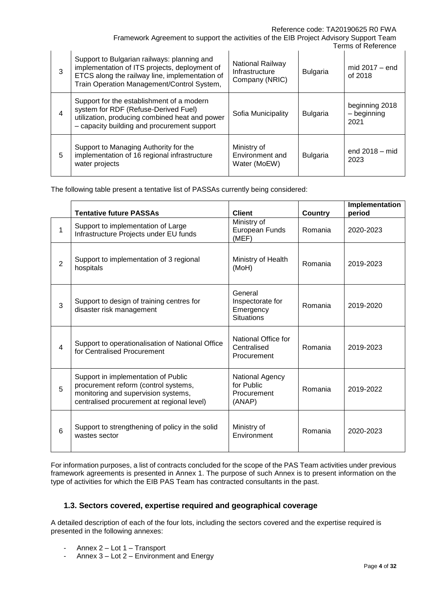#### Reference code: TA20190625 R0 FWA

Framework Agreement to support the activities of the EIB Project Advisory Support Team Terms of Reference

| 3 | Support to Bulgarian railways: planning and<br>implementation of ITS projects, deployment of<br>ETCS along the railway line, implementation of<br>Train Operation Management/Control System, | National Railway<br>Infrastructure<br>Company (NRIC) | <b>Bulgaria</b> | mid $2017 - end$<br>of 2018           |
|---|----------------------------------------------------------------------------------------------------------------------------------------------------------------------------------------------|------------------------------------------------------|-----------------|---------------------------------------|
| 4 | Support for the establishment of a modern<br>system for RDF (Refuse-Derived Fuel)<br>utilization, producing combined heat and power<br>- capacity building and procurement support           | Sofia Municipality                                   | <b>Bulgaria</b> | beginning 2018<br>- beginning<br>2021 |
| 5 | Support to Managing Authority for the<br>implementation of 16 regional infrastructure<br>water projects                                                                                      | Ministry of<br>Environment and<br>Water (MoEW)       | <b>Bulgaria</b> | end $2018 - mid$<br>2023              |

The following table present a tentative list of PASSAs currently being considered:

|                | <b>Tentative future PASSAs</b>                                                                                                                                   | <b>Client</b>                                                 | <b>Country</b> | Implementation<br>period |
|----------------|------------------------------------------------------------------------------------------------------------------------------------------------------------------|---------------------------------------------------------------|----------------|--------------------------|
| 1              | Support to implementation of Large<br>Infrastructure Projects under EU funds                                                                                     | Ministry of<br>European Funds<br>(MEF)                        | Romania        | 2020-2023                |
| $\overline{2}$ | Support to implementation of 3 regional<br>hospitals                                                                                                             | Ministry of Health<br>(MoH)                                   | Romania        | 2019-2023                |
| 3              | Support to design of training centres for<br>disaster risk management                                                                                            | General<br>Inspectorate for<br>Emergency<br><b>Situations</b> | Romania        | 2019-2020                |
| 4              | Support to operationalisation of National Office<br>for Centralised Procurement                                                                                  | National Office for<br>Centralised<br>Procurement             | Romania        | 2019-2023                |
| 5              | Support in implementation of Public<br>procurement reform (control systems,<br>monitoring and supervision systems,<br>centralised procurement at regional level) | National Agency<br>for Public<br>Procurement<br>(ANAP)        | Romania        | 2019-2022                |
| 6              | Support to strengthening of policy in the solid<br>wastes sector                                                                                                 | Ministry of<br>Environment                                    | Romania        | 2020-2023                |

For information purposes, a list of contracts concluded for the scope of the PAS Team activities under previous framework agreements is presented in Annex 1. The purpose of such Annex is to present information on the type of activities for which the EIB PAS Team has contracted consultants in the past.

# **1.3. Sectors covered, expertise required and geographical coverage**

A detailed description of each of the four lots, including the sectors covered and the expertise required is presented in the following annexes:

- Annex 2 Lot 1 Transport
- Annex 3 Lot 2 Environment and Energy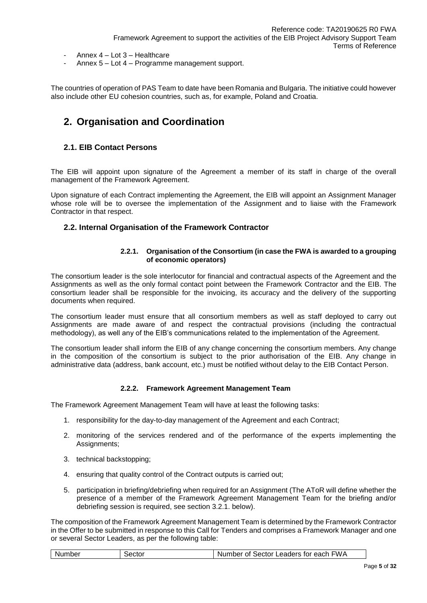- Annex 4 Lot 3 Healthcare
- Annex 5 Lot 4 Programme management support.

The countries of operation of PAS Team to date have been Romania and Bulgaria. The initiative could however also include other EU cohesion countries, such as, for example, Poland and Croatia.

# **2. Organisation and Coordination**

# **2.1. EIB Contact Persons**

The EIB will appoint upon signature of the Agreement a member of its staff in charge of the overall management of the Framework Agreement.

Upon signature of each Contract implementing the Agreement, the EIB will appoint an Assignment Manager whose role will be to oversee the implementation of the Assignment and to liaise with the Framework Contractor in that respect.

#### **2.2. Internal Organisation of the Framework Contractor**

#### **2.2.1. Organisation of the Consortium (in case the FWA is awarded to a grouping of economic operators)**

The consortium leader is the sole interlocutor for financial and contractual aspects of the Agreement and the Assignments as well as the only formal contact point between the Framework Contractor and the EIB. The consortium leader shall be responsible for the invoicing, its accuracy and the delivery of the supporting documents when required.

The consortium leader must ensure that all consortium members as well as staff deployed to carry out Assignments are made aware of and respect the contractual provisions (including the contractual methodology), as well any of the EIB's communications related to the implementation of the Agreement.

The consortium leader shall inform the EIB of any change concerning the consortium members. Any change in the composition of the consortium is subject to the prior authorisation of the EIB. Any change in administrative data (address, bank account, etc.) must be notified without delay to the EIB Contact Person.

### **2.2.2. Framework Agreement Management Team**

The Framework Agreement Management Team will have at least the following tasks:

- 1. responsibility for the day-to-day management of the Agreement and each Contract;
- 2. monitoring of the services rendered and of the performance of the experts implementing the Assignments;
- 3. technical backstopping;
- 4. ensuring that quality control of the Contract outputs is carried out;
- 5. participation in briefing/debriefing when required for an Assignment (The AToR will define whether the presence of a member of the Framework Agreement Management Team for the briefing and/or debriefing session is required, see section 3.2.1. below).

The composition of the Framework Agreement Management Team is determined by the Framework Contractor in the Offer to be submitted in response to this Call for Tenders and comprises a Framework Manager and one or several Sector Leaders, as per the following table:

|  | Number | Sector | Number of Sector Leaders for each FWA |
|--|--------|--------|---------------------------------------|
|--|--------|--------|---------------------------------------|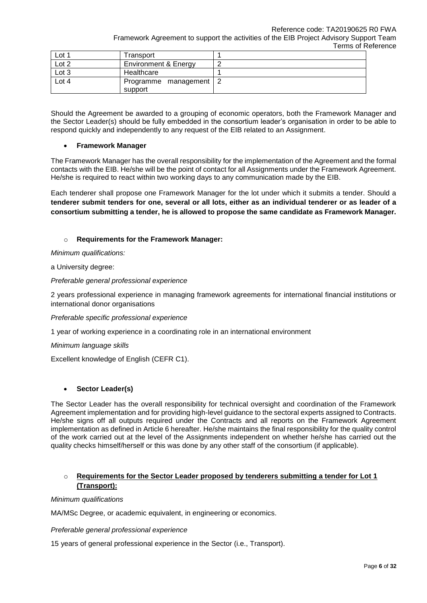Reference code: TA20190625 R0 FWA

Framework Agreement to support the activities of the EIB Project Advisory Support Team Terms of Reference

| Lot 1 | Transport                           |  |
|-------|-------------------------------------|--|
| Lot 2 | <b>Environment &amp; Energy</b>     |  |
| Lot 3 | Healthcare                          |  |
| Lot 4 | Programme management   2<br>support |  |

Should the Agreement be awarded to a grouping of economic operators, both the Framework Manager and the Sector Leader(s) should be fully embedded in the consortium leader's organisation in order to be able to respond quickly and independently to any request of the EIB related to an Assignment.

### **Framework Manager**

The Framework Manager has the overall responsibility for the implementation of the Agreement and the formal contacts with the EIB. He/she will be the point of contact for all Assignments under the Framework Agreement. He/she is required to react within two working days to any communication made by the EIB.

Each tenderer shall propose one Framework Manager for the lot under which it submits a tender. Should a **tenderer submit tenders for one, several or all lots, either as an individual tenderer or as leader of a consortium submitting a tender, he is allowed to propose the same candidate as Framework Manager.**

# o **Requirements for the Framework Manager:**

*Minimum qualifications:*

a University degree:

*Preferable general professional experience*

2 years professional experience in managing framework agreements for international financial institutions or international donor organisations

*Preferable specific professional experience* 

1 year of working experience in a coordinating role in an international environment

*Minimum language skills*

Excellent knowledge of English (CEFR C1).

# **Sector Leader(s)**

The Sector Leader has the overall responsibility for technical oversight and coordination of the Framework Agreement implementation and for providing high-level guidance to the sectoral experts assigned to Contracts. He/she signs off all outputs required under the Contracts and all reports on the Framework Agreement implementation as defined in Article 6 hereafter. He/she maintains the final responsibility for the quality control of the work carried out at the level of the Assignments independent on whether he/she has carried out the quality checks himself/herself or this was done by any other staff of the consortium (if applicable).

# o **Requirements for the Sector Leader proposed by tenderers submitting a tender for Lot 1 (Transport):**

### *Minimum qualifications*

MA/MSc Degree, or academic equivalent, in engineering or economics.

*Preferable general professional experience*

15 years of general professional experience in the Sector (i.e., Transport).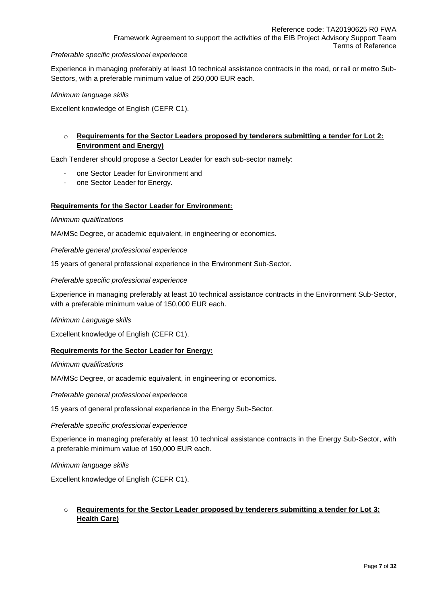Framework Agreement to support the activities of the EIB Project Advisory Support Team Terms of Reference

#### *Preferable specific professional experience*

Experience in managing preferably at least 10 technical assistance contracts in the road, or rail or metro Sub-Sectors, with a preferable minimum value of 250,000 EUR each.

#### *Minimum language skills*

Excellent knowledge of English (CEFR C1).

# o **Requirements for the Sector Leaders proposed by tenderers submitting a tender for Lot 2: Environment and Energy)**

Each Tenderer should propose a Sector Leader for each sub-sector namely:

- one Sector Leader for Environment and
- one Sector Leader for Energy.

#### **Requirements for the Sector Leader for Environment:**

#### *Minimum qualifications*

MA/MSc Degree, or academic equivalent, in engineering or economics.

*Preferable general professional experience*

15 years of general professional experience in the Environment Sub-Sector.

#### *Preferable specific professional experience*

Experience in managing preferably at least 10 technical assistance contracts in the Environment Sub-Sector, with a preferable minimum value of 150,000 EUR each.

#### *Minimum Language skills*

Excellent knowledge of English (CEFR C1).

#### **Requirements for the Sector Leader for Energy:**

#### *Minimum qualifications*

MA/MSc Degree, or academic equivalent, in engineering or economics.

*Preferable general professional experience*

15 years of general professional experience in the Energy Sub-Sector.

#### *Preferable specific professional experience*

Experience in managing preferably at least 10 technical assistance contracts in the Energy Sub-Sector, with a preferable minimum value of 150,000 EUR each.

#### *Minimum language skills*

Excellent knowledge of English (CEFR C1).

# o **Requirements for the Sector Leader proposed by tenderers submitting a tender for Lot 3: Health Care)**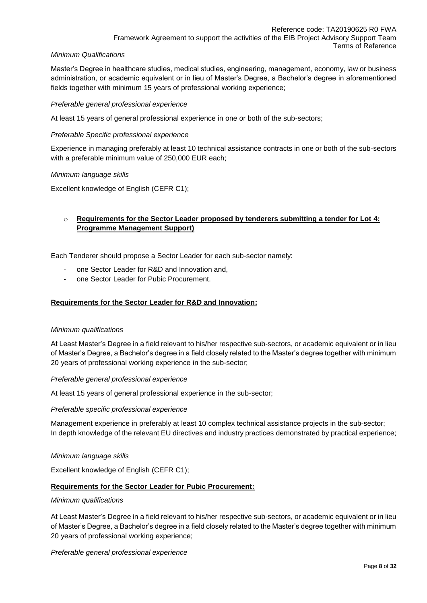## *Minimum Qualifications*

Master's Degree in healthcare studies, medical studies, engineering, management, economy, law or business administration, or academic equivalent or in lieu of Master's Degree, a Bachelor's degree in aforementioned fields together with minimum 15 years of professional working experience;

## *Preferable general professional experience*

At least 15 years of general professional experience in one or both of the sub-sectors;

## *Preferable Specific professional experience*

Experience in managing preferably at least 10 technical assistance contracts in one or both of the sub-sectors with a preferable minimum value of 250,000 EUR each;

### *Minimum language skills*

Excellent knowledge of English (CEFR C1);

# o **Requirements for the Sector Leader proposed by tenderers submitting a tender for Lot 4: Programme Management Support)**

Each Tenderer should propose a Sector Leader for each sub-sector namely:

- one Sector Leader for R&D and Innovation and,
- one Sector Leader for Pubic Procurement.

### **Requirements for the Sector Leader for R&D and Innovation:**

#### *Minimum qualifications*

At Least Master's Degree in a field relevant to his/her respective sub-sectors, or academic equivalent or in lieu of Master's Degree, a Bachelor's degree in a field closely related to the Master's degree together with minimum 20 years of professional working experience in the sub-sector;

#### *Preferable general professional experience*

At least 15 years of general professional experience in the sub-sector;

#### *Preferable specific professional experience*

Management experience in preferably at least 10 complex technical assistance projects in the sub-sector; In depth knowledge of the relevant EU directives and industry practices demonstrated by practical experience;

#### *Minimum language skills*

Excellent knowledge of English (CEFR C1);

### **Requirements for the Sector Leader for Pubic Procurement:**

#### *Minimum qualifications*

At Least Master's Degree in a field relevant to his/her respective sub-sectors, or academic equivalent or in lieu of Master's Degree, a Bachelor's degree in a field closely related to the Master's degree together with minimum 20 years of professional working experience;

#### *Preferable general professional experience*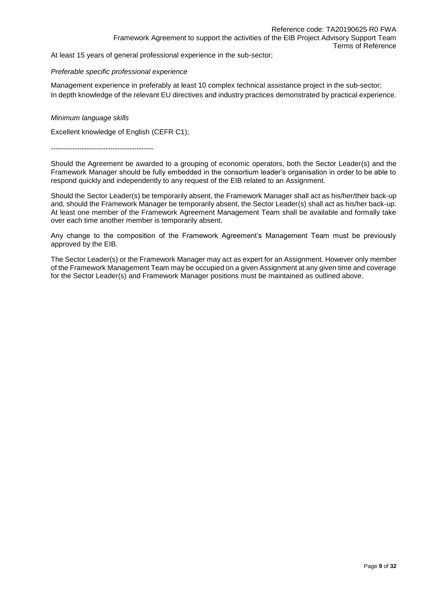At least 15 years of general professional experience in the sub-sector;

#### *Preferable specific professional experience*

Management experience in preferably at least 10 complex technical assistance project in the sub-sector; In depth knowledge of the relevant EU directives and industry practices demonstrated by practical experience.

#### *Minimum language skills*

Excellent knowledge of English (CEFR C1);

-------------------------------------------

Should the Agreement be awarded to a grouping of economic operators, both the Sector Leader(s) and the Framework Manager should be fully embedded in the consortium leader's organisation in order to be able to respond quickly and independently to any request of the EIB related to an Assignment.

Should the Sector Leader(s) be temporarily absent, the Framework Manager shall act as his/her/their back-up and, should the Framework Manager be temporarily absent, the Sector Leader(s) shall act as his/her back-up. At least one member of the Framework Agreement Management Team shall be available and formally take over each time another member is temporarily absent.

Any change to the composition of the Framework Agreement's Management Team must be previously approved by the EIB.

The Sector Leader(s) or the Framework Manager may act as expert for an Assignment. However only member of the Framework Management Team may be occupied on a given Assignment at any given time and coverage for the Sector Leader(s) and Framework Manager positions must be maintained as outlined above.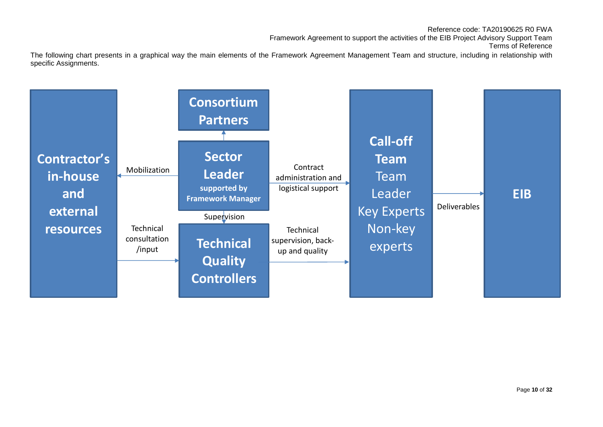Reference code: TA20190625 R0 FWA Framework Agreement to support the activities of the EIB Project Advisory Support Team Terms of Reference

The following chart presents in a graphical way the main elements of the Framework Agreement Management Team and structure, including in relationship with specific Assignments.

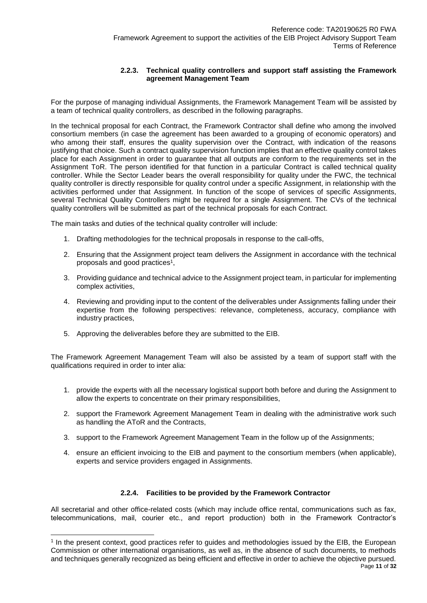## **2.2.3. Technical quality controllers and support staff assisting the Framework agreement Management Team**

For the purpose of managing individual Assignments, the Framework Management Team will be assisted by a team of technical quality controllers, as described in the following paragraphs.

In the technical proposal for each Contract, the Framework Contractor shall define who among the involved consortium members (in case the agreement has been awarded to a grouping of economic operators) and who among their staff, ensures the quality supervision over the Contract, with indication of the reasons justifying that choice. Such a contract quality supervision function implies that an effective quality control takes place for each Assignment in order to guarantee that all outputs are conform to the requirements set in the Assignment ToR. The person identified for that function in a particular Contract is called technical quality controller. While the Sector Leader bears the overall responsibility for quality under the FWC, the technical quality controller is directly responsible for quality control under a specific Assignment, in relationship with the activities performed under that Assignment. In function of the scope of services of specific Assignments, several Technical Quality Controllers might be required for a single Assignment. The CVs of the technical quality controllers will be submitted as part of the technical proposals for each Contract.

The main tasks and duties of the technical quality controller will include:

- 1. Drafting methodologies for the technical proposals in response to the call-offs,
- 2. Ensuring that the Assignment project team delivers the Assignment in accordance with the technical proposals and good practices<sup>1</sup>,
- 3. Providing guidance and technical advice to the Assignment project team, in particular for implementing complex activities,
- 4. Reviewing and providing input to the content of the deliverables under Assignments falling under their expertise from the following perspectives: relevance, completeness, accuracy, compliance with industry practices,
- 5. Approving the deliverables before they are submitted to the EIB.

l

The Framework Agreement Management Team will also be assisted by a team of support staff with the qualifications required in order to inter alia:

- 1. provide the experts with all the necessary logistical support both before and during the Assignment to allow the experts to concentrate on their primary responsibilities,
- 2. support the Framework Agreement Management Team in dealing with the administrative work such as handling the AToR and the Contracts,
- 3. support to the Framework Agreement Management Team in the follow up of the Assignments;
- 4. ensure an efficient invoicing to the EIB and payment to the consortium members (when applicable), experts and service providers engaged in Assignments.

#### **2.2.4. Facilities to be provided by the Framework Contractor**

All secretarial and other office-related costs (which may include office rental, communications such as fax, telecommunications, mail, courier etc., and report production) both in the Framework Contractor's

<sup>1</sup> In the present context, good practices refer to guides and methodologies issued by the EIB, the European Commission or other international organisations, as well as, in the absence of such documents, to methods and techniques generally recognized as being efficient and effective in order to achieve the objective pursued.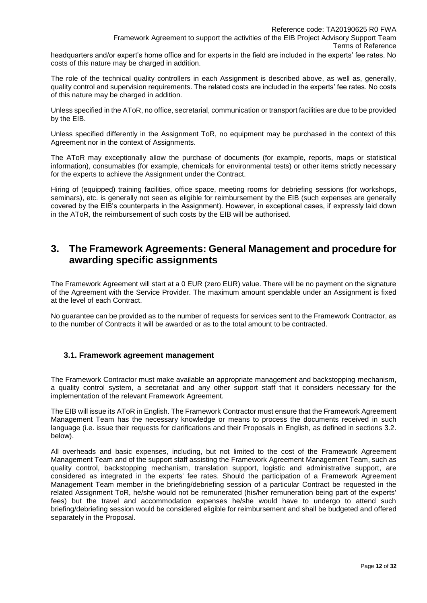headquarters and/or expert's home office and for experts in the field are included in the experts' fee rates. No costs of this nature may be charged in addition.

The role of the technical quality controllers in each Assignment is described above, as well as, generally, quality control and supervision requirements. The related costs are included in the experts' fee rates. No costs of this nature may be charged in addition.

Unless specified in the AToR, no office, secretarial, communication or transport facilities are due to be provided by the EIB.

Unless specified differently in the Assignment ToR, no equipment may be purchased in the context of this Agreement nor in the context of Assignments.

The AToR may exceptionally allow the purchase of documents (for example, reports, maps or statistical information), consumables (for example, chemicals for environmental tests) or other items strictly necessary for the experts to achieve the Assignment under the Contract.

Hiring of (equipped) training facilities, office space, meeting rooms for debriefing sessions (for workshops, seminars), etc. is generally not seen as eligible for reimbursement by the EIB (such expenses are generally covered by the EIB's counterparts in the Assignment). However, in exceptional cases, if expressly laid down in the AToR, the reimbursement of such costs by the EIB will be authorised.

# **3. The Framework Agreements: General Management and procedure for awarding specific assignments**

The Framework Agreement will start at a 0 EUR (zero EUR) value. There will be no payment on the signature of the Agreement with the Service Provider. The maximum amount spendable under an Assignment is fixed at the level of each Contract.

No guarantee can be provided as to the number of requests for services sent to the Framework Contractor, as to the number of Contracts it will be awarded or as to the total amount to be contracted.

# **3.1. Framework agreement management**

The Framework Contractor must make available an appropriate management and backstopping mechanism, a quality control system, a secretariat and any other support staff that it considers necessary for the implementation of the relevant Framework Agreement.

The EIB will issue its AToR in English. The Framework Contractor must ensure that the Framework Agreement Management Team has the necessary knowledge or means to process the documents received in such language (i.e. issue their requests for clarifications and their Proposals in English, as defined in sections 3.2. below).

All overheads and basic expenses, including, but not limited to the cost of the Framework Agreement Management Team and of the support staff assisting the Framework Agreement Management Team, such as quality control, backstopping mechanism, translation support, logistic and administrative support, are considered as integrated in the experts' fee rates. Should the participation of a Framework Agreement Management Team member in the briefing/debriefing session of a particular Contract be requested in the related Assignment ToR, he/she would not be remunerated (his/her remuneration being part of the experts' fees) but the travel and accommodation expenses he/she would have to undergo to attend such briefing/debriefing session would be considered eligible for reimbursement and shall be budgeted and offered separately in the Proposal.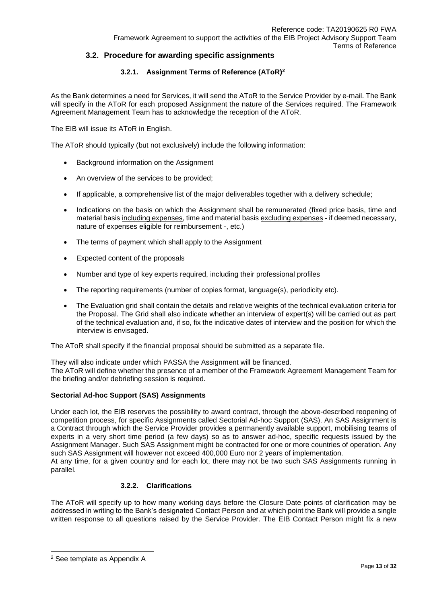# **3.2. Procedure for awarding specific assignments**

# **3.2.1. Assignment Terms of Reference (AToR)<sup>2</sup>**

As the Bank determines a need for Services, it will send the AToR to the Service Provider by e-mail. The Bank will specify in the AToR for each proposed Assignment the nature of the Services required. The Framework Agreement Management Team has to acknowledge the reception of the AToR.

The EIB will issue its AToR in English.

The AToR should typically (but not exclusively) include the following information:

- Background information on the Assignment
- An overview of the services to be provided;
- If applicable, a comprehensive list of the major deliverables together with a delivery schedule;
- Indications on the basis on which the Assignment shall be remunerated (fixed price basis, time and material basis including expenses, time and material basis excluding expenses - if deemed necessary, nature of expenses eligible for reimbursement -, etc.)
- The terms of payment which shall apply to the Assignment
- Expected content of the proposals
- Number and type of key experts required, including their professional profiles
- The reporting requirements (number of copies format, language(s), periodicity etc).
- The Evaluation grid shall contain the details and relative weights of the technical evaluation criteria for the Proposal. The Grid shall also indicate whether an interview of expert(s) will be carried out as part of the technical evaluation and, if so, fix the indicative dates of interview and the position for which the interview is envisaged.

The AToR shall specify if the financial proposal should be submitted as a separate file.

They will also indicate under which PASSA the Assignment will be financed. The AToR will define whether the presence of a member of the Framework Agreement Management Team for the briefing and/or debriefing session is required.

### **Sectorial Ad-hoc Support (SAS) Assignments**

Under each lot, the EIB reserves the possibility to award contract, through the above-described reopening of competition process, for specific Assignments called Sectorial Ad-hoc Support (SAS). An SAS Assignment is a Contract through which the Service Provider provides a permanently available support, mobilising teams of experts in a very short time period (a few days) so as to answer ad-hoc, specific requests issued by the Assignment Manager. Such SAS Assignment might be contracted for one or more countries of operation. Any such SAS Assignment will however not exceed 400,000 Euro nor 2 years of implementation. At any time, for a given country and for each lot, there may not be two such SAS Assignments running in parallel.

#### **3.2.2. Clarifications**

The AToR will specify up to how many working days before the Closure Date points of clarification may be addressed in writing to the Bank's designated Contact Person and at which point the Bank will provide a single written response to all questions raised by the Service Provider. The EIB Contact Person might fix a new

l

<sup>2</sup> See template as Appendix A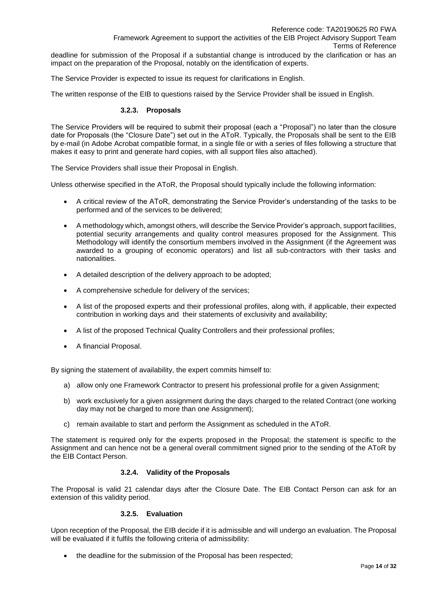deadline for submission of the Proposal if a substantial change is introduced by the clarification or has an impact on the preparation of the Proposal, notably on the identification of experts.

The Service Provider is expected to issue its request for clarifications in English.

The written response of the EIB to questions raised by the Service Provider shall be issued in English.

#### **3.2.3. Proposals**

The Service Providers will be required to submit their proposal (each a "Proposal") no later than the closure date for Proposals (the "Closure Date") set out in the AToR. Typically, the Proposals shall be sent to the EIB by e-mail (in Adobe Acrobat compatible format, in a single file or with a series of files following a structure that makes it easy to print and generate hard copies, with all support files also attached).

The Service Providers shall issue their Proposal in English.

Unless otherwise specified in the AToR, the Proposal should typically include the following information:

- A critical review of the AToR, demonstrating the Service Provider's understanding of the tasks to be performed and of the services to be delivered;
- A methodology which, amongst others, will describe the Service Provider's approach, support facilities, potential security arrangements and quality control measures proposed for the Assignment. This Methodology will identify the consortium members involved in the Assignment (if the Agreement was awarded to a grouping of economic operators) and list all sub-contractors with their tasks and nationalities.
- A detailed description of the delivery approach to be adopted;
- A comprehensive schedule for delivery of the services;
- A list of the proposed experts and their professional profiles, along with, if applicable, their expected contribution in working days and their statements of exclusivity and availability;
- A list of the proposed Technical Quality Controllers and their professional profiles;
- A financial Proposal.

By signing the statement of availability, the expert commits himself to:

- a) allow only one Framework Contractor to present his professional profile for a given Assignment;
- b) work exclusively for a given assignment during the days charged to the related Contract (one working day may not be charged to more than one Assignment);
- c) remain available to start and perform the Assignment as scheduled in the AToR.

The statement is required only for the experts proposed in the Proposal; the statement is specific to the Assignment and can hence not be a general overall commitment signed prior to the sending of the AToR by the EIB Contact Person.

### **3.2.4. Validity of the Proposals**

The Proposal is valid 21 calendar days after the Closure Date. The EIB Contact Person can ask for an extension of this validity period.

## **3.2.5. Evaluation**

Upon reception of the Proposal, the EIB decide if it is admissible and will undergo an evaluation. The Proposal will be evaluated if it fulfils the following criteria of admissibility:

• the deadline for the submission of the Proposal has been respected;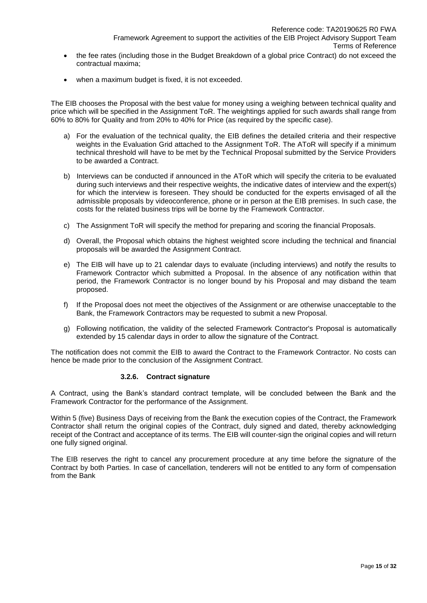- the fee rates (including those in the Budget Breakdown of a global price Contract) do not exceed the contractual maxima;
- when a maximum budget is fixed, it is not exceeded.

The EIB chooses the Proposal with the best value for money using a weighing between technical quality and price which will be specified in the Assignment ToR. The weightings applied for such awards shall range from 60% to 80% for Quality and from 20% to 40% for Price (as required by the specific case).

- a) For the evaluation of the technical quality, the EIB defines the detailed criteria and their respective weights in the Evaluation Grid attached to the Assignment ToR. The AToR will specify if a minimum technical threshold will have to be met by the Technical Proposal submitted by the Service Providers to be awarded a Contract.
- b) Interviews can be conducted if announced in the AToR which will specify the criteria to be evaluated during such interviews and their respective weights, the indicative dates of interview and the expert(s) for which the interview is foreseen. They should be conducted for the experts envisaged of all the admissible proposals by videoconference, phone or in person at the EIB premises. In such case, the costs for the related business trips will be borne by the Framework Contractor.
- c) The Assignment ToR will specify the method for preparing and scoring the financial Proposals.
- d) Overall, the Proposal which obtains the highest weighted score including the technical and financial proposals will be awarded the Assignment Contract.
- e) The EIB will have up to 21 calendar days to evaluate (including interviews) and notify the results to Framework Contractor which submitted a Proposal. In the absence of any notification within that period, the Framework Contractor is no longer bound by his Proposal and may disband the team proposed.
- f) If the Proposal does not meet the objectives of the Assignment or are otherwise unacceptable to the Bank, the Framework Contractors may be requested to submit a new Proposal.
- g) Following notification, the validity of the selected Framework Contractor's Proposal is automatically extended by 15 calendar days in order to allow the signature of the Contract.

The notification does not commit the EIB to award the Contract to the Framework Contractor. No costs can hence be made prior to the conclusion of the Assignment Contract.

#### **3.2.6. Contract signature**

A Contract, using the Bank's standard contract template, will be concluded between the Bank and the Framework Contractor for the performance of the Assignment.

Within 5 (five) Business Days of receiving from the Bank the execution copies of the Contract, the Framework Contractor shall return the original copies of the Contract, duly signed and dated, thereby acknowledging receipt of the Contract and acceptance of its terms. The EIB will counter-sign the original copies and will return one fully signed original.

The EIB reserves the right to cancel any procurement procedure at any time before the signature of the Contract by both Parties. In case of cancellation, tenderers will not be entitled to any form of compensation from the Bank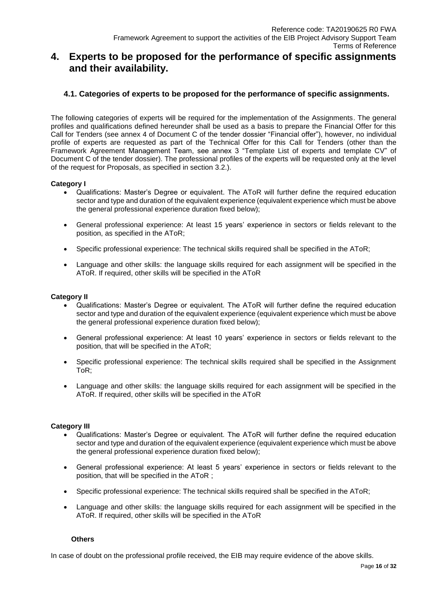# **4. Experts to be proposed for the performance of specific assignments and their availability.**

# **4.1. Categories of experts to be proposed for the performance of specific assignments.**

The following categories of experts will be required for the implementation of the Assignments. The general profiles and qualifications defined hereunder shall be used as a basis to prepare the Financial Offer for this Call for Tenders (see annex 4 of Document C of the tender dossier "Financial offer"), however, no individual profile of experts are requested as part of the Technical Offer for this Call for Tenders (other than the Framework Agreement Management Team, see annex 3 "Template List of experts and template CV" of Document C of the tender dossier). The professional profiles of the experts will be requested only at the level of the request for Proposals, as specified in section 3.2.).

#### **Category I**

- Qualifications: Master's Degree or equivalent. The AToR will further define the required education sector and type and duration of the equivalent experience (equivalent experience which must be above the general professional experience duration fixed below);
- General professional experience: At least 15 years' experience in sectors or fields relevant to the position, as specified in the AToR;
- Specific professional experience: The technical skills required shall be specified in the AToR;
- Language and other skills: the language skills required for each assignment will be specified in the AToR. If required, other skills will be specified in the AToR

#### **Category II**

- Qualifications: Master's Degree or equivalent. The AToR will further define the required education sector and type and duration of the equivalent experience (equivalent experience which must be above the general professional experience duration fixed below);
- General professional experience: At least 10 years' experience in sectors or fields relevant to the position, that will be specified in the AToR;
- Specific professional experience: The technical skills required shall be specified in the Assignment ToR;
- Language and other skills: the language skills required for each assignment will be specified in the AToR. If required, other skills will be specified in the AToR

### **Category III**

- Qualifications: Master's Degree or equivalent. The AToR will further define the required education sector and type and duration of the equivalent experience (equivalent experience which must be above the general professional experience duration fixed below);
- General professional experience: At least 5 years' experience in sectors or fields relevant to the position, that will be specified in the AToR ;
- Specific professional experience: The technical skills required shall be specified in the AToR;
- Language and other skills: the language skills required for each assignment will be specified in the AToR. If required, other skills will be specified in the AToR

#### **Others**

In case of doubt on the professional profile received, the EIB may require evidence of the above skills.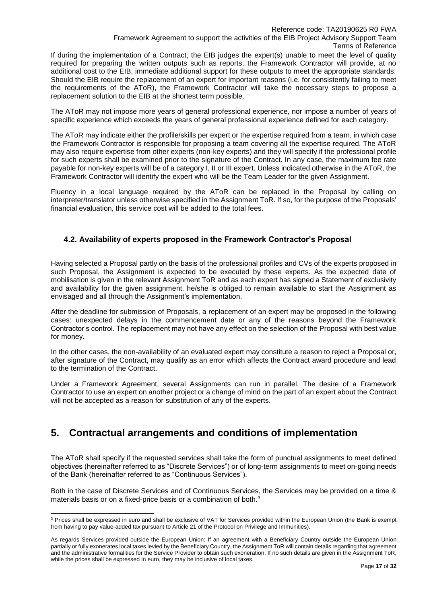If during the implementation of a Contract, the EIB judges the expert(s) unable to meet the level of quality required for preparing the written outputs such as reports, the Framework Contractor will provide, at no additional cost to the EIB, immediate additional support for these outputs to meet the appropriate standards. Should the EIB require the replacement of an expert for important reasons (i.e. for consistently failing to meet the requirements of the AToR), the Framework Contractor will take the necessary steps to propose a replacement solution to the EIB at the shortest term possible.

The AToR may not impose more years of general professional experience, nor impose a number of years of specific experience which exceeds the years of general professional experience defined for each category.

The AToR may indicate either the profile/skills per expert or the expertise required from a team, in which case the Framework Contractor is responsible for proposing a team covering all the expertise required. The AToR may also require expertise from other experts (non-key experts) and they will specify if the professional profile for such experts shall be examined prior to the signature of the Contract. In any case, the maximum fee rate payable for non-key experts will be of a category I, II or III expert. Unless indicated otherwise in the AToR, the Framework Contractor will identify the expert who will be the Team Leader for the given Assignment.

Fluency in a local language required by the AToR can be replaced in the Proposal by calling on interpreter/translator unless otherwise specified in the Assignment ToR. If so, for the purpose of the Proposals' financial evaluation, this service cost will be added to the total fees.

# **4.2. Availability of experts proposed in the Framework Contractor's Proposal**

Having selected a Proposal partly on the basis of the professional profiles and CVs of the experts proposed in such Proposal, the Assignment is expected to be executed by these experts. As the expected date of mobilisation is given in the relevant Assignment ToR and as each expert has signed a Statement of exclusivity and availability for the given assignment, he/she is obliged to remain available to start the Assignment as envisaged and all through the Assignment's implementation.

After the deadline for submission of Proposals, a replacement of an expert may be proposed in the following cases: unexpected delays in the commencement date or any of the reasons beyond the Framework Contractor's control. The replacement may not have any effect on the selection of the Proposal with best value for money.

In the other cases, the non-availability of an evaluated expert may constitute a reason to reject a Proposal or, after signature of the Contract, may qualify as an error which affects the Contract award procedure and lead to the termination of the Contract.

Under a Framework Agreement, several Assignments can run in parallel. The desire of a Framework Contractor to use an expert on another project or a change of mind on the part of an expert about the Contract will not be accepted as a reason for substitution of any of the experts.

# **5. Contractual arrangements and conditions of implementation**

The AToR shall specify if the requested services shall take the form of punctual assignments to meet defined objectives (hereinafter referred to as "Discrete Services") or of long-term assignments to meet on-going needs of the Bank (hereinafter referred to as "Continuous Services").

Both in the case of Discrete Services and of Continuous Services, the Services may be provided on a time & materials basis or on a fixed-price basis or a combination of both.<sup>3</sup>

l <sup>3</sup> Prices shall be expressed in euro and shall be exclusive of VAT for Services provided within the European Union (the Bank is exempt from having to pay value-added tax pursuant to Article 21 of the Protocol on Privilege and Immunities).

As regards Services provided outside the European Union: If an agreement with a Beneficiary Country outside the European Union partially or fully exonerates local taxes levied by the Beneficiary Country, the Assignment ToR will contain details regarding that agreement and the administrative formalities for the Service Provider to obtain such exoneration. If no such details are given in the Assignment ToR, while the prices shall be expressed in euro, they may be inclusive of local taxes.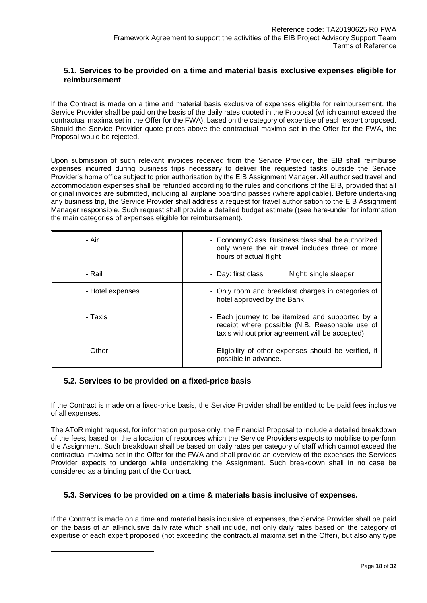# **5.1. Services to be provided on a time and material basis exclusive expenses eligible for reimbursement**

If the Contract is made on a time and material basis exclusive of expenses eligible for reimbursement, the Service Provider shall be paid on the basis of the daily rates quoted in the Proposal (which cannot exceed the contractual maxima set in the Offer for the FWA), based on the category of expertise of each expert proposed. Should the Service Provider quote prices above the contractual maxima set in the Offer for the FWA, the Proposal would be rejected.

Upon submission of such relevant invoices received from the Service Provider, the EIB shall reimburse expenses incurred during business trips necessary to deliver the requested tasks outside the Service Provider's home office subject to prior authorisation by the EIB Assignment Manager. All authorised travel and accommodation expenses shall be refunded according to the rules and conditions of the EIB, provided that all original invoices are submitted, including all airplane boarding passes (where applicable). Before undertaking any business trip, the Service Provider shall address a request for travel authorisation to the EIB Assignment Manager responsible. Such request shall provide a detailed budget estimate ((see here-under for information the main categories of expenses eligible for reimbursement).

| - Air            | - Economy Class. Business class shall be authorized<br>only where the air travel includes three or more<br>hours of actual flight                                                                                                        |  |
|------------------|------------------------------------------------------------------------------------------------------------------------------------------------------------------------------------------------------------------------------------------|--|
| - Rail           | Night: single sleeper<br>- Day: first class                                                                                                                                                                                              |  |
| - Hotel expenses | - Only room and breakfast charges in categories of<br>hotel approved by the Bank                                                                                                                                                         |  |
| - Taxis          | - Each journey to be itemized and supported by a<br>receipt where possible (N.B. Reasonable use of<br>taxis without prior agreement will be accepted).<br>- Eligibility of other expenses should be verified, if<br>possible in advance. |  |
| - Other          |                                                                                                                                                                                                                                          |  |

# **5.2. Services to be provided on a fixed-price basis**

l

If the Contract is made on a fixed-price basis, the Service Provider shall be entitled to be paid fees inclusive of all expenses.

The AToR might request, for information purpose only, the Financial Proposal to include a detailed breakdown of the fees, based on the allocation of resources which the Service Providers expects to mobilise to perform the Assignment. Such breakdown shall be based on daily rates per category of staff which cannot exceed the contractual maxima set in the Offer for the FWA and shall provide an overview of the expenses the Services Provider expects to undergo while undertaking the Assignment. Such breakdown shall in no case be considered as a binding part of the Contract.

# **5.3. Services to be provided on a time & materials basis inclusive of expenses.**

If the Contract is made on a time and material basis inclusive of expenses, the Service Provider shall be paid on the basis of an all-inclusive daily rate which shall include, not only daily rates based on the category of expertise of each expert proposed (not exceeding the contractual maxima set in the Offer), but also any type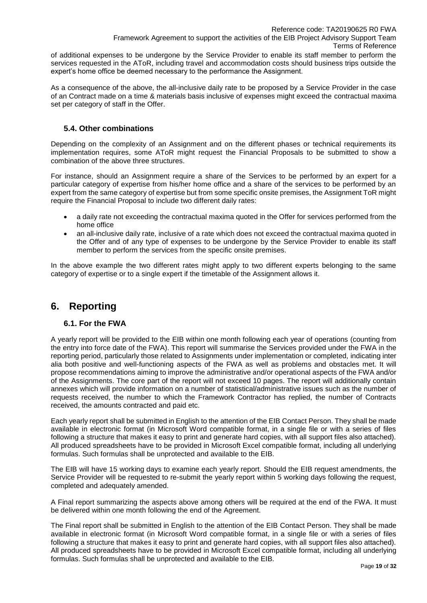of additional expenses to be undergone by the Service Provider to enable its staff member to perform the services requested in the AToR, including travel and accommodation costs should business trips outside the expert's home office be deemed necessary to the performance the Assignment.

As a consequence of the above, the all-inclusive daily rate to be proposed by a Service Provider in the case of an Contract made on a time & materials basis inclusive of expenses might exceed the contractual maxima set per category of staff in the Offer.

# **5.4. Other combinations**

Depending on the complexity of an Assignment and on the different phases or technical requirements its implementation requires, some AToR might request the Financial Proposals to be submitted to show a combination of the above three structures.

For instance, should an Assignment require a share of the Services to be performed by an expert for a particular category of expertise from his/her home office and a share of the services to be performed by an expert from the same category of expertise but from some specific onsite premises, the Assignment ToR might require the Financial Proposal to include two different daily rates:

- a daily rate not exceeding the contractual maxima quoted in the Offer for services performed from the home office
- an all-inclusive daily rate, inclusive of a rate which does not exceed the contractual maxima quoted in the Offer and of any type of expenses to be undergone by the Service Provider to enable its staff member to perform the services from the specific onsite premises.

In the above example the two different rates might apply to two different experts belonging to the same category of expertise or to a single expert if the timetable of the Assignment allows it.

# **6. Reporting**

# **6.1. For the FWA**

A yearly report will be provided to the EIB within one month following each year of operations (counting from the entry into force date of the FWA). This report will summarise the Services provided under the FWA in the reporting period, particularly those related to Assignments under implementation or completed, indicating inter alia both positive and well-functioning aspects of the FWA as well as problems and obstacles met. It will propose recommendations aiming to improve the administrative and/or operational aspects of the FWA and/or of the Assignments. The core part of the report will not exceed 10 pages. The report will additionally contain annexes which will provide information on a number of statistical/administrative issues such as the number of requests received, the number to which the Framework Contractor has replied, the number of Contracts received, the amounts contracted and paid etc.

Each yearly report shall be submitted in English to the attention of the EIB Contact Person. They shall be made available in electronic format (in Microsoft Word compatible format, in a single file or with a series of files following a structure that makes it easy to print and generate hard copies, with all support files also attached). All produced spreadsheets have to be provided in Microsoft Excel compatible format, including all underlying formulas. Such formulas shall be unprotected and available to the EIB.

The EIB will have 15 working days to examine each yearly report. Should the EIB request amendments, the Service Provider will be requested to re-submit the yearly report within 5 working days following the request, completed and adequately amended.

A Final report summarizing the aspects above among others will be required at the end of the FWA. It must be delivered within one month following the end of the Agreement.

The Final report shall be submitted in English to the attention of the EIB Contact Person. They shall be made available in electronic format (in Microsoft Word compatible format, in a single file or with a series of files following a structure that makes it easy to print and generate hard copies, with all support files also attached). All produced spreadsheets have to be provided in Microsoft Excel compatible format, including all underlying formulas. Such formulas shall be unprotected and available to the EIB.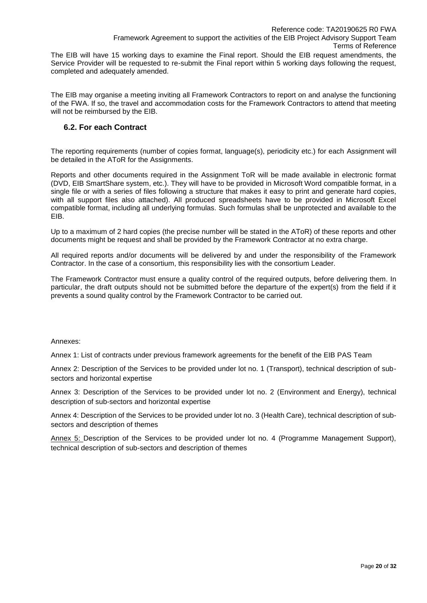The EIB will have 15 working days to examine the Final report. Should the EIB request amendments, the Service Provider will be requested to re-submit the Final report within 5 working days following the request, completed and adequately amended.

The EIB may organise a meeting inviting all Framework Contractors to report on and analyse the functioning of the FWA. If so, the travel and accommodation costs for the Framework Contractors to attend that meeting will not be reimbursed by the EIB.

# **6.2. For each Contract**

The reporting requirements (number of copies format, language(s), periodicity etc.) for each Assignment will be detailed in the AToR for the Assignments.

Reports and other documents required in the Assignment ToR will be made available in electronic format (DVD, EIB SmartShare system, etc.). They will have to be provided in Microsoft Word compatible format, in a single file or with a series of files following a structure that makes it easy to print and generate hard copies, with all support files also attached). All produced spreadsheets have to be provided in Microsoft Excel compatible format, including all underlying formulas. Such formulas shall be unprotected and available to the EIB.

Up to a maximum of 2 hard copies (the precise number will be stated in the AToR) of these reports and other documents might be request and shall be provided by the Framework Contractor at no extra charge.

All required reports and/or documents will be delivered by and under the responsibility of the Framework Contractor. In the case of a consortium, this responsibility lies with the consortium Leader.

The Framework Contractor must ensure a quality control of the required outputs, before delivering them. In particular, the draft outputs should not be submitted before the departure of the expert(s) from the field if it prevents a sound quality control by the Framework Contractor to be carried out.

#### Annexes:

Annex 1: List of contracts under previous framework agreements for the benefit of the EIB PAS Team

Annex 2: Description of the Services to be provided under lot no. 1 (Transport), technical description of subsectors and horizontal expertise

Annex 3: Description of the Services to be provided under lot no. 2 (Environment and Energy), technical description of sub-sectors and horizontal expertise

Annex 4: Description of the Services to be provided under lot no. 3 (Health Care), technical description of subsectors and description of themes

Annex 5: Description of the Services to be provided under lot no. 4 (Programme Management Support), technical description of sub-sectors and description of themes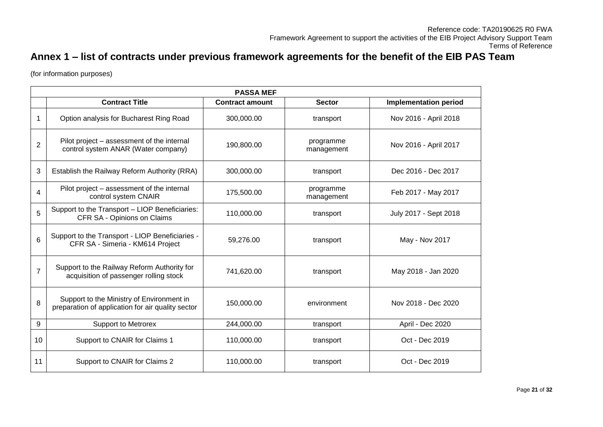# **Annex 1 – list of contracts under previous framework agreements for the benefit of the EIB PAS Team**

(for information purposes)

|                  | <b>PASSA MEF</b>                                                                               |                        |                         |                              |  |  |
|------------------|------------------------------------------------------------------------------------------------|------------------------|-------------------------|------------------------------|--|--|
|                  | <b>Contract Title</b>                                                                          | <b>Contract amount</b> | <b>Sector</b>           | <b>Implementation period</b> |  |  |
| 1                | Option analysis for Bucharest Ring Road                                                        | 300,000.00             | transport               | Nov 2016 - April 2018        |  |  |
| 2                | Pilot project – assessment of the internal<br>control system ANAR (Water company)              | 190,800.00             | programme<br>management | Nov 2016 - April 2017        |  |  |
| 3                | Establish the Railway Reform Authority (RRA)                                                   | 300,000.00             | transport               | Dec 2016 - Dec 2017          |  |  |
| $\boldsymbol{4}$ | Pilot project – assessment of the internal<br>control system CNAIR                             | 175,500.00             | programme<br>management | Feb 2017 - May 2017          |  |  |
| 5                | Support to the Transport - LIOP Beneficiaries:<br>CFR SA - Opinions on Claims                  | 110,000.00             | transport               | July 2017 - Sept 2018        |  |  |
| 6                | Support to the Transport - LIOP Beneficiaries -<br>CFR SA - Simeria - KM614 Project            | 59,276.00              | transport               | May - Nov 2017               |  |  |
| $\overline{7}$   | Support to the Railway Reform Authority for<br>acquisition of passenger rolling stock          | 741,620.00             | transport               | May 2018 - Jan 2020          |  |  |
| 8                | Support to the Ministry of Environment in<br>preparation of application for air quality sector | 150,000.00             | environment             | Nov 2018 - Dec 2020          |  |  |
| 9                | <b>Support to Metrorex</b>                                                                     | 244,000.00             | transport               | April - Dec 2020             |  |  |
| 10               | Support to CNAIR for Claims 1                                                                  | 110,000.00             | transport               | Oct - Dec 2019               |  |  |
| 11               | Support to CNAIR for Claims 2                                                                  | 110,000.00             | transport               | Oct - Dec 2019               |  |  |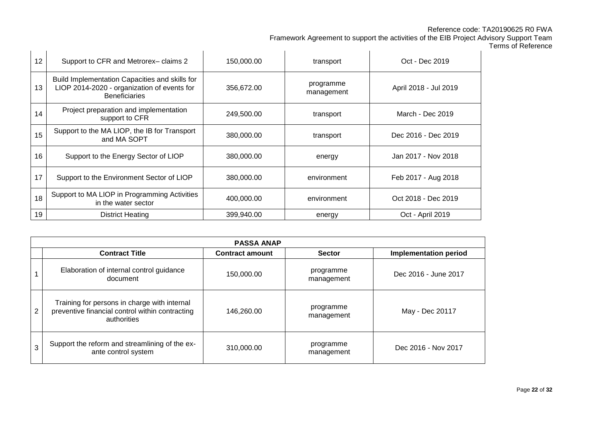# Reference code: TA20190625 R0 FWA

Framework Agreement to support the activities of the EIB Project Advisory Support Team

Terms of Reference

| 12 | Support to CFR and Metrorex-claims 2                                                                                  | 150,000.00 | transport               | Oct - Dec 2019        |
|----|-----------------------------------------------------------------------------------------------------------------------|------------|-------------------------|-----------------------|
| 13 | Build Implementation Capacities and skills for<br>LIOP 2014-2020 - organization of events for<br><b>Beneficiaries</b> | 356,672.00 | programme<br>management | April 2018 - Jul 2019 |
| 14 | Project preparation and implementation<br>support to CFR                                                              | 249,500.00 | transport               | March - Dec 2019      |
| 15 | Support to the MA LIOP, the IB for Transport<br>and MA SOPT                                                           | 380.000.00 | transport               | Dec 2016 - Dec 2019   |
| 16 | Support to the Energy Sector of LIOP                                                                                  | 380,000.00 | energy                  | Jan 2017 - Nov 2018   |
| 17 | Support to the Environment Sector of LIOP                                                                             | 380,000.00 | environment             | Feb 2017 - Aug 2018   |
| 18 | Support to MA LIOP in Programming Activities<br>in the water sector                                                   | 400.000.00 | environment             | Oct 2018 - Dec 2019   |
| 19 | <b>District Heating</b>                                                                                               | 399,940.00 | energy                  | Oct - April 2019      |

|                | <b>PASSA ANAP</b>                                                                                              |                        |                         |                              |  |  |
|----------------|----------------------------------------------------------------------------------------------------------------|------------------------|-------------------------|------------------------------|--|--|
|                | <b>Contract Title</b>                                                                                          | <b>Contract amount</b> | <b>Sector</b>           | <b>Implementation period</b> |  |  |
|                | Elaboration of internal control guidance<br>document                                                           | 150,000.00             | programme<br>management | Dec 2016 - June 2017         |  |  |
| $\overline{2}$ | Training for persons in charge with internal<br>preventive financial control within contracting<br>authorities | 146.260.00             | programme<br>management | May - Dec 20117              |  |  |
| 3              | Support the reform and streamlining of the ex-<br>ante control system                                          | 310,000.00             | programme<br>management | Dec 2016 - Nov 2017          |  |  |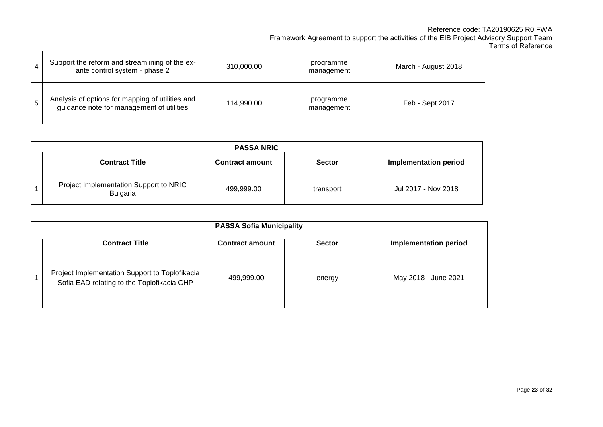## Reference code: TA20190625 R0 FWA

Framework Agreement to support the activities of the EIB Project Advisory Support Team

| Terms of Reference |  |
|--------------------|--|
|--------------------|--|

|   | Support the reform and streamlining of the ex-<br>ante control system - phase 2               | 310,000.00 | programme<br>management | March - August 2018 |
|---|-----------------------------------------------------------------------------------------------|------------|-------------------------|---------------------|
| 5 | Analysis of options for mapping of utilities and<br>guidance note for management of utilities | 114,990.00 | programme<br>management | Feb - Sept 2017     |

| <b>PASSA NRIC</b> |                                                    |                        |               |                              |  |
|-------------------|----------------------------------------------------|------------------------|---------------|------------------------------|--|
|                   | <b>Contract Title</b>                              | <b>Contract amount</b> | <b>Sector</b> | <b>Implementation period</b> |  |
|                   | Project Implementation Support to NRIC<br>Bulgaria | 499,999.00             | transport     | Jul 2017 - Nov 2018          |  |

| <b>PASSA Sofia Municipality</b>                                                              |                        |               |                              |  |  |
|----------------------------------------------------------------------------------------------|------------------------|---------------|------------------------------|--|--|
| <b>Contract Title</b>                                                                        | <b>Contract amount</b> | <b>Sector</b> | <b>Implementation period</b> |  |  |
| Project Implementation Support to Toplofikacia<br>Sofia EAD relating to the Toplofikacia CHP | 499,999.00             | energy        | May 2018 - June 2021         |  |  |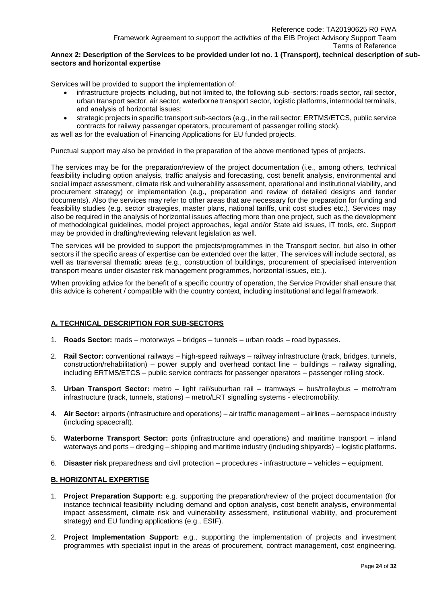#### **Annex 2: Description of the Services to be provided under lot no. 1 (Transport), technical description of subsectors and horizontal expertise**

Services will be provided to support the implementation of:

- infrastructure projects including, but not limited to, the following sub–sectors: roads sector, rail sector, urban transport sector, air sector, waterborne transport sector, logistic platforms, intermodal terminals, and analysis of horizontal issues;
- strategic projects in specific transport sub-sectors (e.g., in the rail sector: ERTMS/ETCS, public service contracts for railway passenger operators, procurement of passenger rolling stock),

as well as for the evaluation of Financing Applications for EU funded projects.

Punctual support may also be provided in the preparation of the above mentioned types of projects.

The services may be for the preparation/review of the project documentation (i.e., among others, technical feasibility including option analysis, traffic analysis and forecasting, cost benefit analysis, environmental and social impact assessment, climate risk and vulnerability assessment, operational and institutional viability, and procurement strategy) or implementation (e.g., preparation and review of detailed designs and tender documents). Also the services may refer to other areas that are necessary for the preparation for funding and feasibility studies (e.g. sector strategies, master plans, national tariffs, unit cost studies etc.). Services may also be required in the analysis of horizontal issues affecting more than one project, such as the development of methodological guidelines, model project approaches, legal and/or State aid issues, IT tools, etc. Support may be provided in drafting/reviewing relevant legislation as well.

The services will be provided to support the projects/programmes in the Transport sector, but also in other sectors if the specific areas of expertise can be extended over the latter. The services will include sectoral, as well as transversal thematic areas (e.g., construction of buildings, procurement of specialised intervention transport means under disaster risk management programmes, horizontal issues, etc.).

When providing advice for the benefit of a specific country of operation, the Service Provider shall ensure that this advice is coherent / compatible with the country context, including institutional and legal framework.

### **A. TECHNICAL DESCRIPTION FOR SUB-SECTORS**

- 1. **Roads Sector:** roads motorways bridges tunnels urban roads road bypasses.
- 2. **Rail Sector:** conventional railways high-speed railways railway infrastructure (track, bridges, tunnels, construction/rehabilitation) – power supply and overhead contact line – buildings – railway signalling, including ERTMS/ETCS – public service contracts for passenger operators – passenger rolling stock.
- 3. **Urban Transport Sector:** metro light rail/suburban rail tramways bus/trolleybus metro/tram infrastructure (track, tunnels, stations) – metro/LRT signalling systems - electromobility.
- 4. **Air Sector:** airports (infrastructure and operations) air traffic management airlines aerospace industry (including spacecraft).
- 5. **Waterborne Transport Sector:** ports (infrastructure and operations) and maritime transport inland waterways and ports – dredging – shipping and maritime industry (including shipyards) – logistic platforms.
- 6. **Disaster risk** preparedness and civil protection procedures infrastructure vehicles equipment.

### **B. HORIZONTAL EXPERTISE**

- 1. **Project Preparation Support:** e.g. supporting the preparation/review of the project documentation (for instance technical feasibility including demand and option analysis, cost benefit analysis, environmental impact assessment, climate risk and vulnerability assessment, institutional viability, and procurement strategy) and EU funding applications (e.g., ESIF).
- 2. **Project Implementation Support:** e.g., supporting the implementation of projects and investment programmes with specialist input in the areas of procurement, contract management, cost engineering,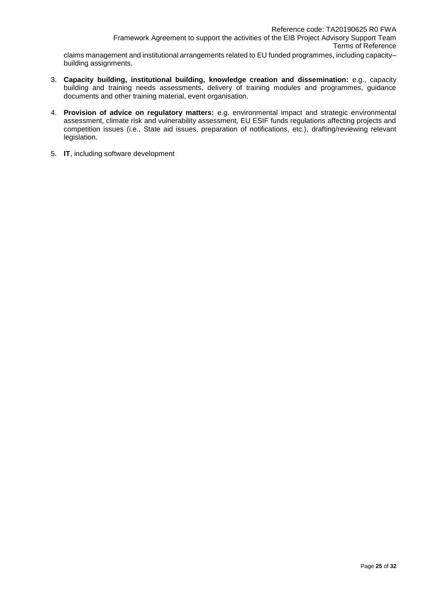claims management and institutional arrangements related to EU funded programmes, including capacity– building assignments.

- 3. **Capacity building, institutional building, knowledge creation and dissemination:** e.g., capacity building and training needs assessments, delivery of training modules and programmes, guidance documents and other training material, event organisation.
- 4. **Provision of advice on regulatory matters:** e.g. environmental impact and strategic environmental assessment, climate risk and vulnerability assessment, EU ESIF funds regulations affecting projects and competition issues (i.e., State aid issues, preparation of notifications, etc.), drafting/reviewing relevant legislation.
- 5. **IT**, including software development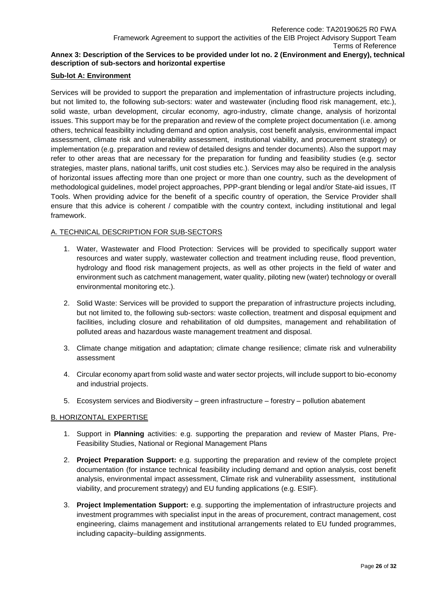# **Annex 3: Description of the Services to be provided under lot no. 2 (Environment and Energy), technical description of sub-sectors and horizontal expertise**

### **Sub-lot A: Environment**

Services will be provided to support the preparation and implementation of infrastructure projects including, but not limited to, the following sub-sectors: water and wastewater (including flood risk management, etc.), solid waste, urban development, circular economy, agro-industry, climate change, analysis of horizontal issues. This support may be for the preparation and review of the complete project documentation (i.e. among others, technical feasibility including demand and option analysis, cost benefit analysis, environmental impact assessment, climate risk and vulnerability assessment, institutional viability, and procurement strategy) or implementation (e.g. preparation and review of detailed designs and tender documents). Also the support may refer to other areas that are necessary for the preparation for funding and feasibility studies (e.g. sector strategies, master plans, national tariffs, unit cost studies etc.). Services may also be required in the analysis of horizontal issues affecting more than one project or more than one country, such as the development of methodological guidelines, model project approaches, PPP-grant blending or legal and/or State-aid issues, IT Tools. When providing advice for the benefit of a specific country of operation, the Service Provider shall ensure that this advice is coherent / compatible with the country context, including institutional and legal framework.

# A. TECHNICAL DESCRIPTION FOR SUB-SECTORS

- 1. Water, Wastewater and Flood Protection: Services will be provided to specifically support water resources and water supply, wastewater collection and treatment including reuse, flood prevention, hydrology and flood risk management projects, as well as other projects in the field of water and environment such as catchment management, water quality, piloting new (water) technology or overall environmental monitoring etc.).
- 2. Solid Waste: Services will be provided to support the preparation of infrastructure projects including, but not limited to, the following sub-sectors: waste collection, treatment and disposal equipment and facilities, including closure and rehabilitation of old dumpsites, management and rehabilitation of polluted areas and hazardous waste management treatment and disposal.
- 3. Climate change mitigation and adaptation; climate change resilience; climate risk and vulnerability assessment
- 4. Circular economy apart from solid waste and water sector projects, will include support to bio-economy and industrial projects.
- 5. Ecosystem services and Biodiversity green infrastructure forestry pollution abatement

### B. HORIZONTAL EXPERTISE

- 1. Support in **Planning** activities: e.g. supporting the preparation and review of Master Plans, Pre-Feasibility Studies, National or Regional Management Plans
- 2. **Project Preparation Support:** e.g. supporting the preparation and review of the complete project documentation (for instance technical feasibility including demand and option analysis, cost benefit analysis, environmental impact assessment, Climate risk and vulnerability assessment, institutional viability, and procurement strategy) and EU funding applications (e.g. ESIF).
- 3. **Project Implementation Support:** e.g. supporting the implementation of infrastructure projects and investment programmes with specialist input in the areas of procurement, contract management, cost engineering, claims management and institutional arrangements related to EU funded programmes, including capacity–building assignments.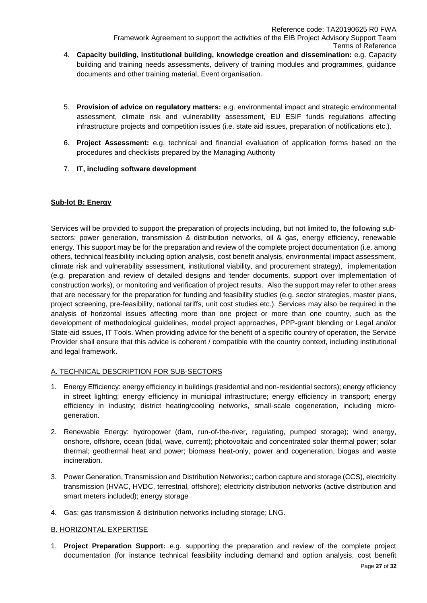- Terms of Reference 4. **Capacity building, institutional building, knowledge creation and dissemination:** e.g. Capacity building and training needs assessments, delivery of training modules and programmes, guidance documents and other training material, Event organisation.
- 5. **Provision of advice on regulatory matters:** e.g. environmental impact and strategic environmental assessment, climate risk and vulnerability assessment, EU ESIF funds regulations affecting infrastructure projects and competition issues (i.e. state aid issues, preparation of notifications etc.).
- 6. **Project Assessment:** e.g. technical and financial evaluation of application forms based on the procedures and checklists prepared by the Managing Authority
- 7. **IT, including software development**

# **Sub-lot B: Energy**

Services will be provided to support the preparation of projects including, but not limited to, the following subsectors: power generation, transmission & distribution networks, oil & gas, energy efficiency, renewable energy. This support may be for the preparation and review of the complete project documentation (i.e. among others, technical feasibility including option analysis, cost benefit analysis, environmental impact assessment, climate risk and vulnerability assessment, institutional viability, and procurement strategy), implementation (e.g. preparation and review of detailed designs and tender documents, support over implementation of construction works), or monitoring and verification of project results. Also the support may refer to other areas that are necessary for the preparation for funding and feasibility studies (e.g. sector strategies, master plans, project screening, pre-feasibility, national tariffs, unit cost studies etc.). Services may also be required in the analysis of horizontal issues affecting more than one project or more than one country, such as the development of methodological guidelines, model project approaches, PPP-grant blending or Legal and/or State-aid issues, IT Tools. When providing advice for the benefit of a specific country of operation, the Service Provider shall ensure that this advice is coherent / compatible with the country context, including institutional and legal framework.

# A. TECHNICAL DESCRIPTION FOR SUB-SECTORS

- 1. Energy Efficiency: energy efficiency in buildings (residential and non-residential sectors); energy efficiency in street lighting; energy efficiency in municipal infrastructure; energy efficiency in transport; energy efficiency in industry; district heating/cooling networks, small-scale cogeneration, including microgeneration.
- 2. Renewable Energy: hydropower (dam, run-of-the-river, regulating, pumped storage); wind energy, onshore, offshore, ocean (tidal, wave, current); photovoltaic and concentrated solar thermal power; solar thermal; geothermal heat and power; biomass heat-only, power and cogeneration, biogas and waste incineration.
- 3. Power Generation, Transmission and Distribution Networks:; carbon capture and storage (CCS), electricity transmission (HVAC, HVDC, terrestrial, offshore); electricity distribution networks (active distribution and smart meters included); energy storage
- 4. Gas: gas transmission & distribution networks including storage; LNG.

### B. HORIZONTAL EXPERTISE

1. **Project Preparation Support:** e.g. supporting the preparation and review of the complete project documentation (for instance technical feasibility including demand and option analysis, cost benefit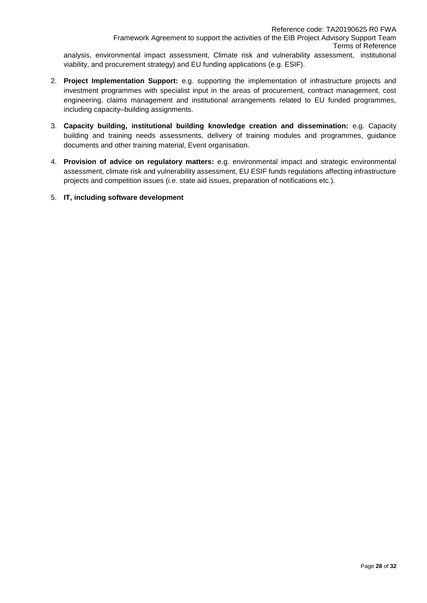viability, and procurement strategy) and EU funding applications (e.g. ESIF).

- 2. **Project Implementation Support:** e.g. supporting the implementation of infrastructure projects and investment programmes with specialist input in the areas of procurement, contract management, cost engineering, claims management and institutional arrangements related to EU funded programmes, including capacity–building assignments.
- 3. **Capacity building, institutional building knowledge creation and dissemination:** e.g. Capacity building and training needs assessments, delivery of training modules and programmes, guidance documents and other training material, Event organisation.
- 4. **Provision of advice on regulatory matters:** e.g. environmental impact and strategic environmental assessment, climate risk and vulnerability assessment, EU ESIF funds regulations affecting infrastructure projects and competition issues (i.e. state aid issues, preparation of notifications etc.).
- 5. **IT, including software development**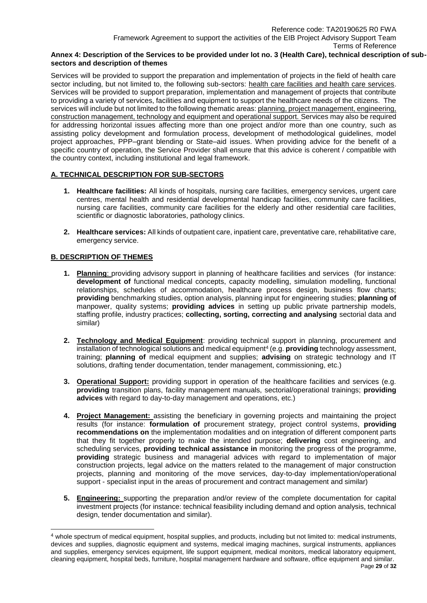#### **Annex 4: Description of the Services to be provided under lot no. 3 (Health Care), technical description of subsectors and description of themes**

Services will be provided to support the preparation and implementation of projects in the field of health care sector including, but not limited to, the following sub-sectors: health care facilities and health care services. Services will be provided to support preparation, implementation and management of projects that contribute to providing a variety of services, facilities and equipment to support the healthcare needs of the citizens. The services will include but not limited to the following thematic areas: planning, project management, engineering, construction management, technology and equipment and operational support. Services may also be required for addressing horizontal issues affecting more than one project and/or more than one country, such as assisting policy development and formulation process, development of methodological guidelines, model project approaches, PPP–grant blending or State–aid issues. When providing advice for the benefit of a specific country of operation, the Service Provider shall ensure that this advice is coherent / compatible with the country context, including institutional and legal framework.

# **A. TECHNICAL DESCRIPTION FOR SUB-SECTORS**

- **1. Healthcare facilities:** All kinds of hospitals, nursing care facilities, emergency services, urgent care centres, mental health and residential developmental handicap facilities, community care facilities, nursing care facilities, community care facilities for the elderly and other residential care facilities, scientific or diagnostic laboratories, pathology clinics.
- **2. Healthcare services:** All kinds of outpatient care, inpatient care, preventative care, rehabilitative care, emergency service.

# **B. DESCRIPTION OF THEMES**

l

- **1. Planning**: providing advisory support in planning of healthcare facilities and services (for instance: **development of** functional medical concepts, capacity modelling, simulation modelling, functional relationships, schedules of accommodation, healthcare process design, business flow charts; **providing** benchmarking studies, option analysis, planning input for engineering studies; **planning of** manpower, quality systems; **providing advices** in setting up public private partnership models, staffing profile, industry practices; **collecting, sorting, correcting and analysing** sectorial data and similar)
- **2. Technology and Medical Equipment**: providing technical support in planning, procurement and installation of technological solutions and medical equipment<sup>4</sup> (e.g. **providing** technology assessment, training; **planning of** medical equipment and supplies; **advising** on strategic technology and IT solutions, drafting tender documentation, tender management, commissioning, etc.)
- **3. Operational Support:** providing support in operation of the healthcare facilities and services (e.g. **providing** transition plans, facility management manuals, sectorial/operational trainings; **providing advices** with regard to day-to-day management and operations, etc.)
- **4. Project Management:** assisting the beneficiary in governing projects and maintaining the project results (for instance: **formulation of** procurement strategy, project control systems, **providing recommendations on** the implementation modalities and on integration of different component parts that they fit together properly to make the intended purpose; **delivering** cost engineering, and scheduling services, **providing technical assistance in** monitoring the progress of the programme, **providing** strategic business and managerial advices with regard to implementation of major construction projects, legal advice on the matters related to the management of major construction projects, planning and monitoring of the move services, day-to-day implementation/operational support - specialist input in the areas of procurement and contract management and similar)
- **5. Engineering:** supporting the preparation and/or review of the complete documentation for capital investment projects (for instance: technical feasibility including demand and option analysis, technical design, tender documentation and similar).

<sup>4</sup> whole spectrum of medical equipment, hospital supplies, and products, including but not limited to: medical instruments, devices and supplies, diagnostic equipment and systems, medical imaging machines, surgical instruments, appliances and supplies, emergency services equipment, life support equipment, medical monitors, medical laboratory equipment, cleaning equipment, hospital beds, furniture, hospital management hardware and software, office equipment and similar.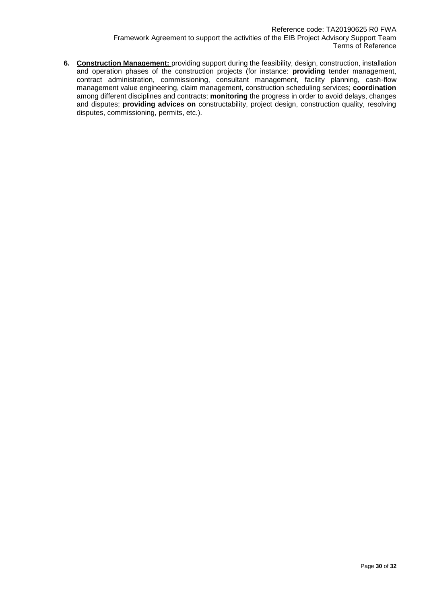**6. Construction Management:** providing support during the feasibility, design, construction, installation and operation phases of the construction projects (for instance: **providing** tender management, contract administration, commissioning, consultant management, facility planning, cash-flow management value engineering, claim management, construction scheduling services; **coordination** among different disciplines and contracts; **monitoring** the progress in order to avoid delays, changes and disputes; **providing advices on** constructability, project design, construction quality, resolving disputes, commissioning, permits, etc.).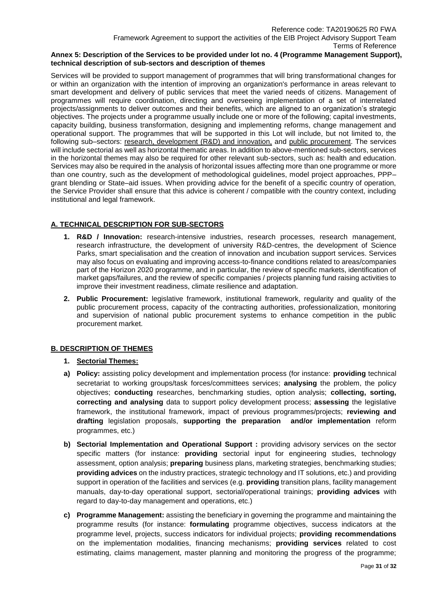#### **Annex 5: Description of the Services to be provided under lot no. 4 (Programme Management Support), technical description of sub-sectors and description of themes**

Services will be provided to support management of programmes that will bring transformational changes for or within an organization with the intention of improving an organization's performance in areas relevant to smart development and delivery of public services that meet the varied needs of citizens. Management of programmes will require coordination, directing and overseeing implementation of a set of interrelated projects/assignments to deliver outcomes and their benefits, which are aligned to an organization's strategic objectives. The projects under a programme usually include one or more of the following; capital investments, capacity building, business transformation, designing and implementing reforms, change management and operational support. The programmes that will be supported in this Lot will include, but not limited to, the following sub–sectors: research, development (R&D) and innovation, and public procurement. The services will include sectorial as well as horizontal thematic areas. In addition to above-mentioned sub-sectors, services in the horizontal themes may also be required for other relevant sub-sectors, such as: health and education. Services may also be required in the analysis of horizontal issues affecting more than one programme or more than one country, such as the development of methodological guidelines, model project approaches, PPP– grant blending or State–aid issues. When providing advice for the benefit of a specific country of operation, the Service Provider shall ensure that this advice is coherent / compatible with the country context, including institutional and legal framework.

# **A. TECHNICAL DESCRIPTION FOR SUB-SECTORS**

- **1. R&D / Innovation:** research-intensive industries, research processes, research management, research infrastructure, the development of university R&D-centres, the development of Science Parks, smart specialisation and the creation of innovation and incubation support services. Services may also focus on evaluating and improving access-to-finance conditions related to areas/companies part of the Horizon 2020 programme, and in particular, the review of specific markets, identification of market gaps/failures, and the review of specific companies / projects planning fund raising activities to improve their investment readiness, climate resilience and adaptation.
- **2. Public Procurement:** legislative framework, institutional framework, regularity and quality of the public procurement process, capacity of the contracting authorities, professionalization, monitoring and supervision of national public procurement systems to enhance competition in the public procurement market.

### **B. DESCRIPTION OF THEMES**

### **1. Sectorial Themes:**

- **a) Policy:** assisting policy development and implementation process (for instance: **providing** technical secretariat to working groups/task forces/committees services; **analysing** the problem, the policy objectives; **conducting** researches, benchmarking studies, option analysis; **collecting, sorting, correcting and analysing** data to support policy development process; **assessing** the legislative framework, the institutional framework, impact of previous programmes/projects; **reviewing and drafting** legislation proposals, **supporting the preparation and/or implementation** reform programmes, etc.)
- **b) Sectorial Implementation and Operational Support :** providing advisory services on the sector specific matters (for instance: **providing** sectorial input for engineering studies, technology assessment, option analysis; **preparing** business plans, marketing strategies, benchmarking studies; **providing advices** on the industry practices, strategic technology and IT solutions, etc.) and providing support in operation of the facilities and services (e.g. **providing** transition plans, facility management manuals, day-to-day operational support, sectorial/operational trainings; **providing advices** with regard to day-to-day management and operations, etc.)
- **c) Programme Management:** assisting the beneficiary in governing the programme and maintaining the programme results (for instance: **formulating** programme objectives, success indicators at the programme level, projects, success indicators for individual projects; **providing recommendations** on the implementation modalities, financing mechanisms; **providing services** related to cost estimating, claims management, master planning and monitoring the progress of the programme;